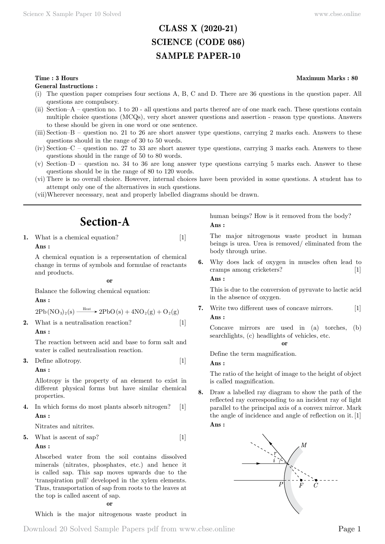# **CLASS X (2020-21) SCIENCE (CODE 086) SAMPLE PAPER-10**

#### **Time : 3 Hours Maximum Marks : 80**

**General Instructions :**

- (i) The question paper comprises four sections A, B, C and D. There are 36 questions in the question paper. All questions are compulsory.
- (ii) Section–A question no. 1 to 20 all questions and parts thereof are of one mark each. These questions contain multiple choice questions (MCQs), very short answer questions and assertion - reason type questions. Answers to these should be given in one word or one sentence.
- (iii) Section–B question no. 21 to 26 are short answer type questions, carrying 2 marks each. Answers to these questions should in the range of 30 to 50 words.
- (iv) Section–C question no. 27 to 33 are short answer type questions, carrying 3 marks each. Answers to these questions should in the range of 50 to 80 words.
- (v) Section–D question no. 34 to 36 are long answer type questions carrying 5 marks each. Answer to these questions should be in the range of 80 to 120 words.
- (vi) There is no overall choice. However, internal choices have been provided in some questions. A student has to attempt only one of the alternatives in such questions.
- (vii)Wherever necessary, neat and properly labelled diagrams should be drawn.

# **Section-A**

**1.** What is a chemical equation? [1]  **Ans :**

A chemical equation is a representation of chemical change in terms of symbols and formulae of reactants and products.

 **o**

Balance the following chemical equation:

 **Ans :**

$$
2\text{Pb}(\text{NO}_3)_2(\text{s}) \xrightarrow{\text{Heat}} 2\text{Pb}(\text{s}) + 4\text{NO}_2(\text{g}) + \text{O}_2(\text{g})
$$

**2.** What is a neutralisation reaction? [1]

 **Ans :**

The reaction between acid and base to form salt and water is called neutralisation reaction.

**3.** Define allotropy. [1]

### **Ans :**

Allotropy is the property of an element to exist in different physical forms but have similar chemical properties.

**4.** In which forms do most plants absorb nitrogen? [1]  **Ans :**

Nitrates and nitrites.

# **5.** What is ascent of sap? [1]

 **Ans :**

Absorbed water from the soil contains dissolved minerals (nitrates, phosphates, etc.) and hence it is called sap. This sap moves upwards due to the 'transpiration pull' developed in the xylem elements. Thus, transportation of sap from roots to the leaves at the top is called ascent of sap.

 **o**

Which is the major nitrogenous waste product in

human beings? How is it removed from the body?  **Ans :**

The major nitrogenous waste product in human beings is urea. Urea is removed/ eliminated from the body through urine.

**6.** Why does lack of oxygen in muscles often lead to cramps among cricketers? [1]  **Ans :**

This is due to the conversion of pyruvate to lactic acid in the absence of oxygen.

**7.** Write two different uses of concave mirrors. [1]  **Ans :**

Concave mirrors are used in (a) torches, (b) searchlights, (c) headlights of vehicles, etc.

#### **o**

Define the term magnification.

 **Ans :**

The ratio of the height of image to the height of object is called magnification.

**8.** Draw a labelled ray diagram to show the path of the reflected ray corresponding to an incident ray of light parallel to the principal axis of a convex mirror. Mark the angle of incidence and angle of reflection on it. [1]

## **Ans :**

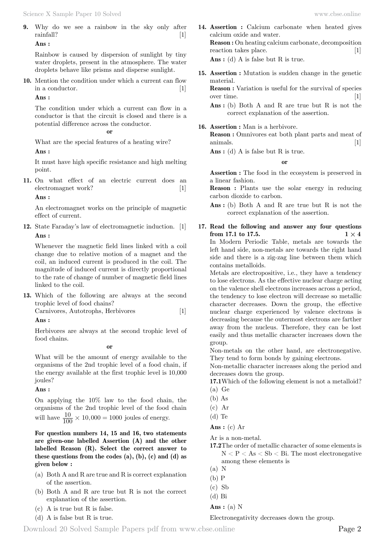**9.** Why do we see a rainbow in the sky only after rainfall? [1]

 **Ans :**

Rainbow is caused by dispersion of sunlight by tiny water droplets, present in the atmosphere. The water droplets behave like prisms and disperse sunlight.

**10.** Mention the condition under which a current can flow in a conductor. [1]

### **Ans :**

The condition under which a current can flow in a conductor is that the circuit is closed and there is a potential difference across the conductor.

#### **o**

What are the special features of a heating wire?

#### **Ans :**

It must have high specific resistance and high melting point.

**11.** On what effect of an electric current does an electromagnet work? [1]

#### **Ans :**

An electromagnet works on the principle of magnetic effect of current.

**12.** State Faraday's law of electromagnetic induction. [1]  **Ans :**

Whenever the magnetic field lines linked with a coil change due to relative motion of a magnet and the coil, an induced current is produced in the coil. The magnitude of induced current is directly proportional to the rate of change of number of magnetic field lines linked to the coil.

**13.** Which of the following are always at the second trophic level of food chains? Carnivores, Autotrophs, Herbivores [1]

#### **Ans :**

Herbivores are always at the second trophic level of food chains.

 **o**

What will be the amount of energy available to the organisms of the 2nd trophic level of a food chain, if the energy available at the first trophic level is 10,000 joules?

#### **Ans :**

On applying the 10% law to the food chain, the organisms of the 2nd trophic level of the food chain will have  $\frac{10}{100} \times 10,000 = 1000$  joules of energy.

**For question numbers 14, 15 and 16, two statements are given-one labelled Assertion (A) and the other labelled Reason (R). Select the correct answer to these questions from the codes (a), (b), (c) and (d) as given below :**

- (a) Both A and R are true and R is correct explanation of the assertion.
- (b) Both A and R are true but R is not the correct explanation of the assertion.
- (c) A is true but R is false.
- (d) A is false but R is true.
- **14. Assertion :** Calcium carbonate when heated gives calcium oxide and water. **Reason :** On heating calcium carbonate, decomposition reaction takes place. [1]  **Ans :** (d) A is false but R is true.
- **15. Assertion :** Mutation is sudden change in the genetic material.
	- **Reason :** Variation is useful for the survival of species over time. [1]

 **Ans :** (b) Both A and R are true but R is not the correct explanation of the assertion.

#### **16. Assertion :** Man is a herbivore.

**Reason :** Omnivores eat both plant parts and meat of animals. [1]

 **Ans :** (d) A is false but R is true.

 **o**

**Assertion :** The food in the ecosystem is preserved in a linear fashion.

**Reason :** Plants use the solar energy in reducing carbon dioxide to carbon.

- **Ans :** (b) Both A and R are true but R is not the correct explanation of the assertion.
- **17. Read the following and answer any four questions from 17.1 to 17.5. 1**  $\times$  **4** In Modern Periodic Table, metals are towards the left hand side, non-metals are towards the right hand side and there is a zig-zag line between them which contains metalloids.

Metals are electropositive, i.e., they have a tendency to lose electrons. As the effective nuclear charge acting on the valence shell electrons increases across a period, the tendency to lose electron will decrease so metallic character decreases. Down the group, the effective nuclear charge experienced by valence electrons is decreasing because the outermost electrons are farther away from the nucleus. Therefore, they can be lost easily and thus metallic character increases down the group.

Non-metals on the other hand, are electronegative. They tend to form bonds by gaining electrons.

Non-metallic character increases along the period and decreases down the group.

- **17.1**Which of the following element is not a metalloid? (a) Ge
- (b) As
- (c) Ar
- (d) Te
- **Ans :** (c) Ar

Ar is a non-metal.

- **17.2**The order of metallic character of some elements is  $N < P < As < Sb < Bi$ . The most electronegative among these elements is
- (a) N

 **Ans :** (a) N

Electronegativity decreases down the group.

<sup>(</sup>b) P

 $(c)$  Sb

<sup>(</sup>d) Bi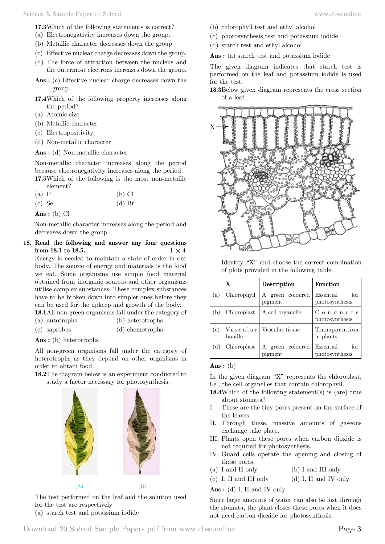**17.3**Which of the following statements is correct?

- (a) Electronegativity increases down the group.
- (b) Metallic character decreases down the group.
- (c) Effective nuclear charge decreases down the group.
- (d) The force of attraction between the nucleus and the outermost electrons increases down the group.
- **Ans :** (c) Effective nuclear charge decreases down the group.
- **17.4**Which of the following property increases along the period?
- (a) Atomic size
- (b) Metallic character
- (c) Electropositivity
- (d) Non-metallic character

 **Ans :** (d) Non-metallic character

Non-metallic character increases along the period because electronegativity increases along the period.

**17.5**Which of the following is the most non-metallic element?

| $(a)$ P    |  | $(b)$ Cl           |  |
|------------|--|--------------------|--|
| $\sqrt{2}$ |  | $(1)$ $\mathbb{R}$ |  |

(c) Se  $(d)$  Br

 **Ans :** (b) Cl

Non-metallic character increases along the period and decreases down the group.

**18. Read the following and answer any four questions from 18.1 to 18.5. 1**  $\times$  **4** 

Energy is needed to maintain a state of order in our body. The source of energy and materials is the food we eat. Some organisms use simple food material obtained from inorganic sources and other organisms utilise complex substances. These complex substances have to be broken down into simpler ones before they can be used for the upkeep and growth of the body.

**18.1**All non-green organisms fall under the category of

- (a) autotrophs (b) heterotrophs (c) saprobes (d) chemotrophs
- **Ans :** (b) heterotrophs

All non-green organisms fall under the category of heterotrophs as they depend on other organisms in order to obtain food.

**18.2**The diagram below is an experiment conducted to study a factor necessary for photosynthesis.



The test performed on the leaf and the solution used for the test are respectively

(a) starch test and potassium iodide

- (b) chlorophyll test and ethyl alcohol
- (c) photosynthesis test and potassium iodide
- (d) starch test and ethyl alcohol

 **Ans :** (a) starch test and potassium iodide

The given diagram indicates that starch test is performed on the leaf and potassium iodide is used for the test.

**18.3**Below given diagram represents the cross section of a leaf.



Identify "X" and choose the correct combination of plots provided in the following table.

|     | $\mathbf X$ | <b>Description</b>             | <b>Function</b>                    |
|-----|-------------|--------------------------------|------------------------------------|
| (a) | Chlorophyll | green coloured<br>A<br>pigment | for<br>Essential<br>photosynthesis |
| (b) | Chloroplast | A cell organelle               | $C$ onducts<br>photosynthesis      |
| (c) | bundle      | Vascular   Vascular tissue     | Transportation<br>in plants        |
| (d) | Chloroplast | green coloured<br>А<br>pigment | for<br>Essential<br>photosynthesis |

#### **Ans :** (b)

In the given diagram "X" represents the chloroplast, i.e., the cell organelles that contain chlorophyll.

- **18.4**Which of the following statement(s) is (are) true about stomata?
- I. These are the tiny pores present on the surface of the leaves.
- II. Through these, massive amounts of gaseous exchange take place.
- III. Plants open these pores when carbon dioxide is not required for photosynthesis.
- IV. Guard cells operate the opening and closing of these pores.
- (a) I and II only (b) I and III only
- (c) I, II and III only (d) I, II and IV only

 **Ans :** (d) I, II and IV only

Since large amounts of water can also be lost through the stomata, the plant closes these pores when it does not need carbon dioxide for photosynthesis.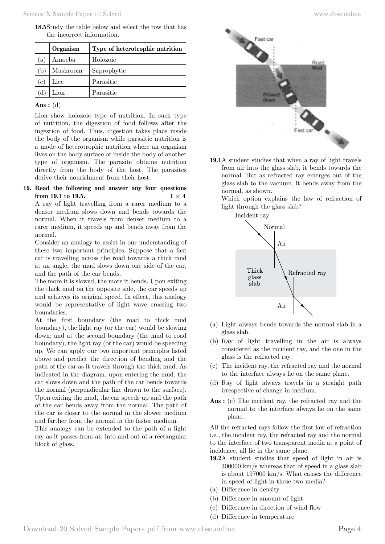**18.5**Study the table below and select the row that has the incorrect information.

|              | Organism | Type of heterotrophic nutrition |
|--------------|----------|---------------------------------|
| a)           | Amoeba   | Holozoic                        |
| 'b           | Mushroom | Saprophytic                     |
| (c)          | Lice     | Parasitic                       |
| <sub>d</sub> | Lion     | Parasitic                       |

### **Ans :** (d)

Lion show holozoic type of nutrition. In such type of nutrition, the digestion of food follows after the ingestion of food. Thus, digestion takes place inside the body of the organism while parasitic nutrition is a mode of heterotrophic nutrition where an organism lives on the body surface or inside the body of another type of organism. The parasite obtains nutrition directly from the body of the host. The parasites derive their nourishment from their host.

#### **19. Read the following and answer any four questions from 19.1 to 19.5. 1**  $\times$  **4**

A ray of light travelling from a rarer medium to a denser medium slows down and bends towards the normal. When it travels from denser medium to a rarer medium, it speeds up and bends away from the normal.

Consider an analogy to assist in our understanding of these two important principles. Suppose that a fast car is travelling across the road towards a thick mud at an angle, the mud slows down one side of the car, and the path of the car bends.

The more it is slowed, the more it bends. Upon exiting the thick mud on the opposite side, the car speeds up and achieves its original speed. In effect, this analogy would be representative of light wave crossing two boundaries.

At the first boundary (the road to thick mud boundary), the light ray (or the car) would be slowing down; and at the second boundary (the mud to road boundary), the light ray (or the car) would be speeding up. We can apply our two important principles listed above and predict the direction of bending and the path of the car as it travels through the thick mud. As indicated in the diagram, upon entering the mud, the car slows down and the path of the car bends towards the normal (perpendicular line drawn to the surface). Upon exiting the mud, the car speeds up and the path of the car bends away from the normal. The path of the car is closer to the normal in the slower medium and farther from the normal in the faster medium.

This analogy can be extended to the path of a light ray as it passes from air into and out of a rectangular block of glass.



**19.1**A student studies that when a ray of light travels from air into the glass slab, it bends towards the normal. But as refracted ray emerges out of the glass slab to the vacuum, it bends away from the normal, as shown.

Which option explains the law of refraction of light through the glass slab?

Incident ray



- (a) Light always bends towards the normal slab in a glass slab.
- (b) Ray of light travelling in the air is always considered as the incident ray, and the one in the glass is the refracted ray.
- (c) The incident ray, the refracted ray and the normal to the interface always lie on the same plane.
- (d) Ray of light always travels in a straight path irrespective of change in medium.
- **Ans :** (c) The incident ray, the refracted ray and the normal to the interface always lie on the same plane.

All the refracted rays follow the first law of refraction i.e., the incident ray, the refracted ray and the normal to the interface of two transparent media at a point of incidence, all lie in the same plane.

- **19.2**A student studies that speed of light in air is 300000 km/s whereas that of speed in a glass slab is about 197000 km/s. What causes the difference in speed of light in these two media?
- (a) Difference in density
- (b) Difference in amount of light
- (c) Difference in direction of wind flow
- (d) Difference in temperature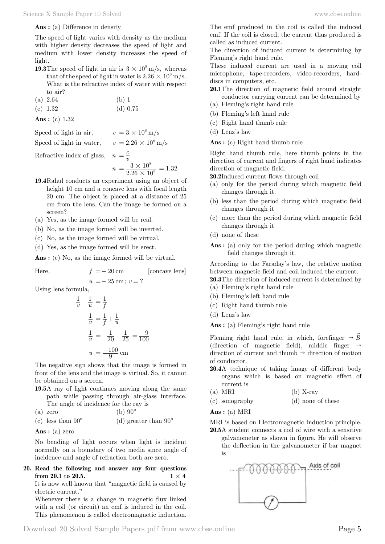#### **Ans :** (a) Difference in density

The speed of light varies with density as the medium with higher density decreases the speed of light and medium with lower density increases the speed of light.

- **19.3**The speed of light in air is  $3 \times 10^8$  m/s, whereas that of the speed of light in water is  $2.26 \times 10^8$  m/s. What is the refractive index of water with respect to air?
- (a) 2.64 (b) 1 (c)  $1.32$  (d)  $0.75$
- **Ans :** (c) 1.32

Speed of light in air,  $c = 3 \times 10^8 \text{ m/s}$ 

Speed of light in water,  $v = 2.26 \times 10^8 \text{ m/s}$ 

$$
\text{Reference index of glass,} \quad n = \frac{c}{v}
$$
\n
$$
n = \frac{3 \times 10^8}{2.26 \times 10^8} = 1.32
$$

- **19.4**Rahul conducts an experiment using an object of height 10 cm and a concave lens with focal length 20 cm. The object is placed at a distance of 25 cm from the lens. Can the image be formed on a screen?
- (a) Yes, as the image formed will be real.
- (b) No, as the image formed will be inverted.
- (c) No, as the image formed will be virtual.
- (d) Yes, as the image formed will be erect.

 **Ans :** (c) No, as the image formed will be virtual.

Here,  $f = -20 \text{ cm}$  [concave lens]

$$
u = -25 \,\mathrm{cm}; v = ?
$$

Using lens formula,

$$
\frac{1}{v} - \frac{1}{u} = \frac{1}{f}
$$
  

$$
\frac{1}{v} = \frac{1}{f} + \frac{1}{u}
$$
  

$$
\frac{1}{v} = -\frac{1}{20} - \frac{1}{25} = \frac{-9}{100}
$$
  

$$
u = \frac{-100}{9}
$$
 cm

The negative sign shows that the image is formed in front of the lens and the image is virtual. So, it cannot be obtained on a screen.

**19.5**A ray of light continues moving along the same path while passing through air-glass interface.

The angle of incidence for the ray is (a) zero  $(h)$  90 $^{\circ}$ 

(c) less than 
$$
90^{\circ}
$$
 (d) greater than  $90^{\circ}$ 

 **Ans :** (a) zero

No bending of light occurs when light is incident normally on a boundary of two media since angle of incidence and angle of refraction both are zero.

**20. Read the following and answer any four questions from 20.1 to 20.5. 1**  $\times$  **4** It is now well known that "magnetic field is caused by

electric current." Whenever there is a change in magnetic flux linked with a coil (or circuit) an emf is induced in the coil. This phenomenon is called electromagnetic induction. The emf produced in the coil is called the induced emf. If the coil is closed, the current thus produced is called as induced current.

The direction of induced current is determining by Fleming's right hand rule.

These induced current are used in a moving coil microphone, tape-recorders, video-recorders, harddiscs in computers, etc.

- **20.1**The direction of magnetic field around straight conductor carrying current can be determined by
- (a) Fleming's right hand rule
- (b) Fleming's left hand rule
- (c) Right hand thumb rule
- (d) Lenz's law

 **Ans :** (c) Right hand thumb rule

Right hand thumb rule, here thumb points in the direction of current and fingers of right hand indicates direction of magnetic field.

**20.2**Induced current flows through coil

- (a) only for the period during which magnetic field changes through it.
- (b) less than the period during which magnetic field changes through it
- (c) more than the period during which magnetic field changes through it
- (d) none of these
- **Ans :** (a) only for the period during which magnetic field changes through it.

According to the Faraday's law, the relative motion between magnetic field and coil induced the current. **20.3**The direction of induced current is determined by

- (a) Fleming's right hand rule
- (b) Fleming's left hand rule
- (c) Right hand thumb rule
- (d) Lenz's law

 **Ans :** (a) Fleming's right hand rule

Fleming right hand rule, in which, forefinger  $\rightarrow \vec{B}$ (direction of magnetic field), middle finger  $\rightarrow$ direction of current and thumb  $\rightarrow$  direction of motion of conductor.

- **20.4**A technique of taking image of different body organs which is based on magnetic effect of current is
- (a) MRI (b) X-ray
- (c) sonography (d) none of these

 **Ans :** (a) MRI

MRI is based on Electromagnetic Induction principle.

**20.5**A student connects a coil of wire with a sensitive galvanometer as shown in figure. He will observe the deflection in the galvanometer if bar magnet is

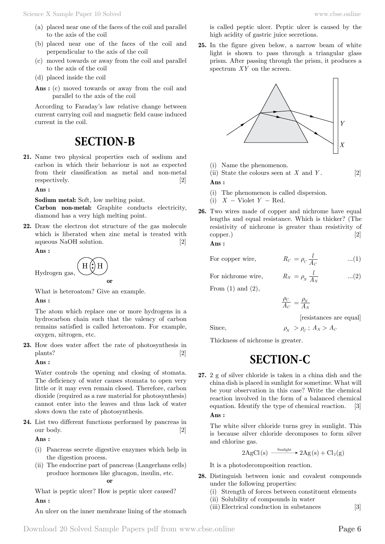- (a) placed near one of the faces of the coil and parallel to the axis of the coil
- (b) placed near one of the faces of the coil and perpendicular to the axis of the coil
- (c) moved towards or away from the coil and parallel to the axis of the coil
- (d) placed inside the coil
- **Ans :** (c) moved towards or away from the coil and parallel to the axis of the coil

According to Faraday's law relative change between current carrying coil and magnetic field cause induced current in the coil.

# **SECTION-B**

**21.** Name two physical properties each of sodium and carbon in which their behaviour is not as expected from their classification as metal and non-metal respectively. [2]

 **Ans :**

**Sodium metal:** Soft, low melting point.

**Carbon non-metal:** Graphite conducts electricity, diamond has a very high melting point.

**22.** Draw the electron dot structure of the gas molecule which is liberated when zinc metal is treated with aqueous NaOH solution. [2]

 **Ans :**

 $H($ :) H Hydrogen gas,  **o**

What is heteroatom? Give an example.

#### **Ans :**

The atom which replace one or more hydrogens in a hydrocarbon chain such that the valency of carbon remains satisfied is called heteroatom. For example, oxygen, nitrogen, etc.

**23.** How does water affect the rate of photosynthesis in plants? [2]

 **Ans :**

Water controls the opening and closing of stomata. The deficiency of water causes stomata to open very little or it may even remain closed. Therefore, carbon dioxide (required as a raw material for photosynthesis) cannot enter into the leaves and thus lack of water slows down the rate of photosynthesis.

**24.** List two different functions performed by pancreas in our body. [2]

 **Ans :**

- (i) Pancreas secrete digestive enzymes which help in the digestion process.
- (ii) The endocrine part of pancreas (Langerhans cells) produce hormones like glucagon, insulin, etc.  **o**

What is peptic ulcer? How is peptic ulcer caused?  **Ans :**

An ulcer on the inner membrane lining of the stomach

is called peptic ulcer. Peptic ulcer is caused by the high acidity of gastric juice secretions.

**25.** In the figure given below, a narrow beam of white light is shown to pass through a triangular glass prism. After passing through the prism, it produces a spectrum *XY* on the screen.



- (i) Name the phenomenon.
- (ii) State the colours seen at *X* and *Y* . [2]  **Ans :**
- (i) The phenomenon is called dispersion.
- (i)  $X$  Violet  $Y$  Red.
- **26.** Two wires made of copper and nichrome have equal lengths and equal resistance. Which is thicker? (The resistivity of nichrome is greater than resistivity of copper.) [2]

 **Ans :**

| For copper wire, | $R_C = \rho_C \frac{1}{4\pi}$ | (1) |
|------------------|-------------------------------|-----|
|------------------|-------------------------------|-----|

For nichrome wire,  $R_N = \rho_N \frac{1}{A}$ 

From  $(1)$  and  $(2)$ ,

$$
\frac{\rho_C}{A_C}\,=\frac{\rho_N}{A_N}
$$

[resistances are equal]

 $= \rho_N \frac{t}{A_N}$  ...(2)

Since,  $\rho_N > \rho_C$ ;  $A_N > A_C$ 

Thickness of nichrome is greater.

# **SECTION-C**

**27.** 2 g of silver chloride is taken in a china dish and the china dish is placed in sunlight for sometime. What will be your observation in this case? Write the chemical reaction involved in the form of a balanced chemical equation. Identify the type of chemical reaction. [3]  **Ans :**

The white silver chloride turns grey in sunlight. This is because silver chloride decomposes to form silver and chlorine gas.

$$
2\mathrm{AgCl(s)} \xrightarrow{\text{Sunlight}} 2\mathrm{Ag(s)} + \mathrm{Cl}_2(g)
$$

It is a photodecomposition reaction.

- **28.** Distinguish between ionic and covalent compounds under the following properties:
	- (i) Strength of forces between constituent elements
	- (ii) Solubility of compounds in water
	- (iii) Electrical conduction in substances [3]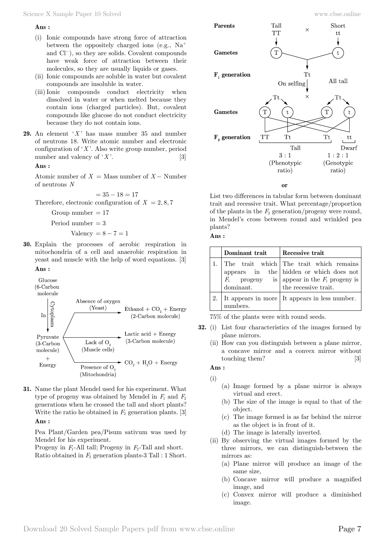#### **Ans :**

- (i) Ionic compounds have strong force of attraction between the oppositely charged ions (e.g.,  $Na<sup>+</sup>$ and Cl-), so they are solids. Covalent compounds have weak force of attraction between their molecules, so they are usually liquids or gases.
- (ii) Ionic compounds are soluble in water but covalent compounds are insoluble in water.
- (iii)Ionic compounds conduct electricity when dissolved in water or when melted because they contain ions (charged particles). But, covalent compounds like glucose do not conduct electricity because they do not contain ions.
- **29.** An element '*X* ' has mass number 35 and number of neutrons 18. Write atomic number and electronic configuration of '*X* '. Also write group number, period number and valency of  $'X$ '. [3]

 **Ans :**

Atomic number of  $X =$  Mass number of  $X -$  Number of neutrons *N*

$$
= 35 - 18 = 17
$$
  
Therefore, electronic configuration of  $X = 2, 8, 7$ 

Group number  $= 17$ 

Period number  $= 3$ 

- Valency =  $8 7 = 1$
- **30.** Explain the processes of aerobic respiration in mitochondria of a cell and anaerobic respiration in yeast and muscle with the help of word equations. [3]  **Ans :**



**31.** Name the plant Mendel used for his experiment. What type of progeny was obtained by Mendel in  $F_1$  and  $F_2$ generations when he crossed the tall and short plants? Write the ratio he obtained in  $F_2$  generation plants. [3]  **Ans :**

Pea Plant/Garden pea/Pisum sativum was used by Mendel for his experiment.

Progeny in *F*<sub>1</sub>-All tall; Progeny in *F*<sub>2</sub>-Tall and short. Ratio obtained in *F*2 generation plants-3 Tall : 1 Short.



 **o**

List two differences in tabular form between dominant trait and recessive trait. What percentage/proportion of the plants in the  $F_2$  generation/progeny were round, in Mendel's cross between round and wrinkled pea plants?

 **Ans :**

| Dominant trait | Recessive trait                                                                                                                                                         |
|----------------|-------------------------------------------------------------------------------------------------------------------------------------------------------------------------|
|                | The trait which The trait which remains<br>appears in the hidden or which does not<br>$F_1$ progeny is appear in the $F_1$ progeny is dominant.<br>the recessive trait. |
| numbers.       | It appears in more   It appears in less number.                                                                                                                         |

75% of the plants were with round seeds.

- **32.** (i) List four characteristics of the images formed by plane mirrors.
	- (ii) How can you distinguish between a plane mirror, a concave mirror and a convex mirror without touching them? [3]

### **Ans :** (i)

- (a) Image formed by a plane mirror is always virtual and erect.
- (b) The size of the image is equal to that of the object.
- (c) The image formed is as far behind the mirror as the object is in front of it.
- (d) The image is laterally inverted.
- (ii) By observing the virtual images formed by the three mirrors, we can distinguish-between the mirrors as:
	- (a) Plane mirror will produce an image of the same size,
	- (b) Concave mirror will produce a magnified image, and
	- (c) Convex mirror will produce a diminished image.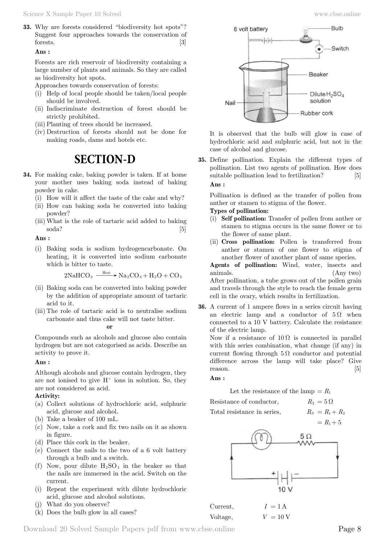**33.** Why are forests considered "biodiversity hot spots"? Suggest four approaches towards the conservation of forests. [3]

#### **Ans :**

Forests are rich reservoir of biodiversity containing a large number of plants and animals. So they are called as biodiversity hot spots.

Approaches towards conservation of forests:

- (i) Help of local people should be taken/local people should be involved.
- (ii) Indiscriminate destruction of forest should be strictly prohibited.
- (iii) Planting of trees should be increased.
- (iv) Destruction of forests should not be done for making roads, dams and hotels etc.

# **SECTION-D**

- **34.** For making cake, baking powder is taken. If at home your mother uses baking soda instead of baking powder in cake.
	- (i) How will it affect the taste of the cake and why?
	- (ii) How can baking soda be converted into baking powder?
	- (iii) What is the role of tartaric acid added to baking soda? [5]

 **Ans :**

(i) Baking soda is sodium hydrogencarbonate. On heating, it is converted into sodium carbonate which is bitter to taste.

$$
2NaHCO3 \xrightarrow{\text{Heat}} Na2CO3 + H2O + CO2
$$

- (ii) Baking soda can be converted into baking powder by the addition of appropriate amount of tartaric acid to it.
- (iii) The role of tartaric acid is to neutralise sodium carbonate and thus cake will not taste bitter.

 **o**

Compounds such as alcohols and glucose also contain hydrogen but are not categorised as acids. Describe an activity to prove it.

#### **Ans :**

Although alcohols and glucose contain hydrogen, they are not ionised to give  $H^+$  ions in solution. So, they are not considered as acid.

#### **Activity:**

- (a) Collect solutions of hydrochloric acid, sulphuric acid, glucose and alcohol.
- (b) Take a beaker of 100 mL.
- (c) Now, take a cork and fix two nails on it as shown in figure.
- (d) Place this cork in the beaker.
- (e) Connect the nails to the two of a 6 volt battery through a bulb and a switch.
- (f) Now, pour dilute  $H_2SO_4$  in the beaker so that the nails are immersed in the acid. Switch on the current.
- (i) Repeat the experiment with dilute hydrochloric acid, glucose and alcohol solutions.
- (j) What do you observe?
- (k) Does the bulb glow in all cases?



It is observed that the bulb will glow in case of hydrochloric acid and sulphuric acid, but not in the case of alcohol and glucose.

**35.** Define pollination. Explain the different types of pollination. List two agents of pollination. How does suitable pollination lead to fertilization? [5]  **Ans :**

Pollination is defined as the transfer of pollen from anther or stamen to stigma of the flower.

### **Types of pollination:**

- (i) **Self pollination:** Transfer of pollen from anther or stamen to stigma occurs in the same flower or to the flower of same plant.
- (ii) **Cross pollination:** Pollen is transferred from anther or stamen of one flower to stigma of another flower of another plant of same species.

**Agents of pollination:** Wind, water, insects and animals. (Any two) After pollination, a tube grows out of the pollen grain and travels through the style to reach the female germ cell in the ovary, which results in fertilization.

**36.** A current of 1 ampere flows in a series circuit having an electric lamp and a conductor of  $5 \Omega$  when connected to a 10 V battery. Calculate the resistance of the electric lamp.

Now if a resistance of  $10 \Omega$  is connected in parallel with this series combination, what change (if any) in current flowing through  $5 \Omega$  conductor and potential difference across the lamp will take place? Give reason. [5]

#### **Ans :**

Let the resistance of the lamp  $=R_1$ 

$$
R_2=5\,\Omega
$$

Resistance of conductor, Total resistance in series,  $R_S = R_1 + R_2$ 



| Current, | $I = 1$ A          |
|----------|--------------------|
| Voltage, | $V = 10 \text{ V}$ |